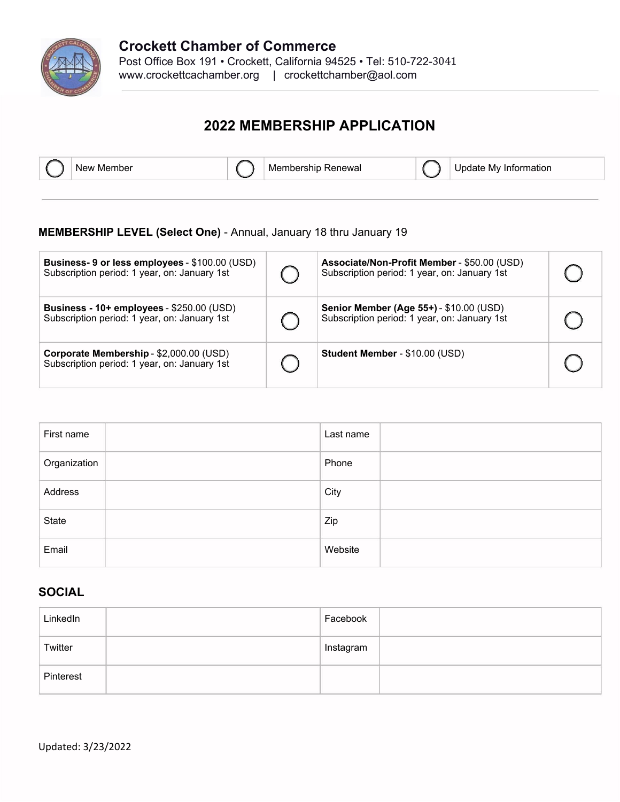

# **2022 MEMBERSHIP APPLICATION**



New Member  $\bigcap_{n=1}^{\infty}$  Membership Renewal  $\bigcap_{n=1}^{\infty}$  Update My Information

### **MEMBERSHIP LEVEL (Select One)** - Annual, January 18 thru January 19

| Business- 9 or less employees - \$100.00 (USD)<br>Subscription period: 1 year, on: January 1st | Associate/Non-Profit Member - \$50.00 (USD)<br>Subscription period: 1 year, on: January 1st    |  |
|------------------------------------------------------------------------------------------------|------------------------------------------------------------------------------------------------|--|
| Business - 10+ employees - \$250.00 (USD)<br>Subscription period: 1 year, on: January 1st      | <b>Senior Member (Age 55+) - \$10.00 (USD)</b><br>Subscription period: 1 year, on: January 1st |  |
| Corporate Membership - \$2,000.00 (USD)<br>Subscription period: 1 year, on: January 1st        | Student Member - \$10.00 (USD)                                                                 |  |

| First name   | Last name |
|--------------|-----------|
| Organization | Phone     |
| Address      | City      |
| State        | Zip       |
| Email        | Website   |

## **SOCIAL**

| LinkedIn  | Facebook  |
|-----------|-----------|
| Twitter   | Instagram |
| Pinterest |           |